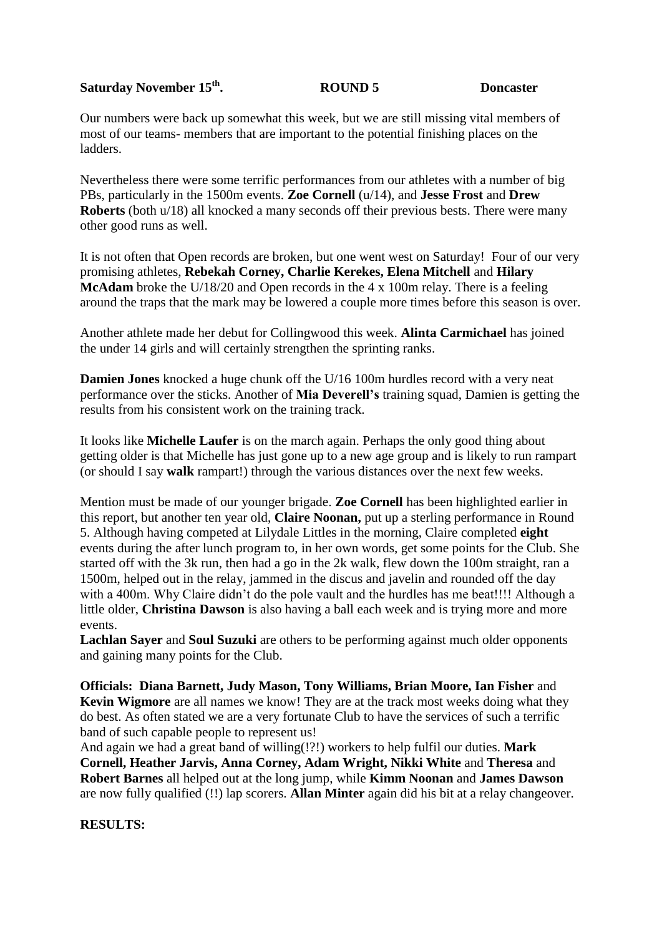## **Saturday November 15th**

**. ROUND 5 Doncaster**

Our numbers were back up somewhat this week, but we are still missing vital members of most of our teams- members that are important to the potential finishing places on the ladders.

Nevertheless there were some terrific performances from our athletes with a number of big PBs, particularly in the 1500m events. **Zoe Cornell** (u/14), and **Jesse Frost** and **Drew Roberts** (both u/18) all knocked a many seconds off their previous bests. There were many other good runs as well.

It is not often that Open records are broken, but one went west on Saturday! Four of our very promising athletes, **Rebekah Corney, Charlie Kerekes, Elena Mitchell** and **Hilary McAdam** broke the U/18/20 and Open records in the 4 x 100m relay. There is a feeling around the traps that the mark may be lowered a couple more times before this season is over.

Another athlete made her debut for Collingwood this week. **Alinta Carmichael** has joined the under 14 girls and will certainly strengthen the sprinting ranks.

**Damien Jones** knocked a huge chunk off the U/16 100m hurdles record with a very neat performance over the sticks. Another of **Mia Deverell's** training squad, Damien is getting the results from his consistent work on the training track.

It looks like **Michelle Laufer** is on the march again. Perhaps the only good thing about getting older is that Michelle has just gone up to a new age group and is likely to run rampart (or should I say **walk** rampart!) through the various distances over the next few weeks.

Mention must be made of our younger brigade. **Zoe Cornell** has been highlighted earlier in this report, but another ten year old, **Claire Noonan,** put up a sterling performance in Round 5. Although having competed at Lilydale Littles in the morning, Claire completed **eight** events during the after lunch program to, in her own words, get some points for the Club. She started off with the 3k run, then had a go in the 2k walk, flew down the 100m straight, ran a 1500m, helped out in the relay, jammed in the discus and javelin and rounded off the day with a 400m. Why Claire didn't do the pole vault and the hurdles has me beat!!!! Although a little older, **Christina Dawson** is also having a ball each week and is trying more and more events.

**Lachlan Sayer** and **Soul Suzuki** are others to be performing against much older opponents and gaining many points for the Club.

**Officials: Diana Barnett, Judy Mason, Tony Williams, Brian Moore, Ian Fisher** and **Kevin Wigmore** are all names we know! They are at the track most weeks doing what they do best. As often stated we are a very fortunate Club to have the services of such a terrific band of such capable people to represent us!

And again we had a great band of willing(!?!) workers to help fulfil our duties. **Mark Cornell, Heather Jarvis, Anna Corney, Adam Wright, Nikki White** and **Theresa** and **Robert Barnes** all helped out at the long jump, while **Kimm Noonan** and **James Dawson** are now fully qualified (!!) lap scorers. **Allan Minter** again did his bit at a relay changeover.

**RESULTS:**